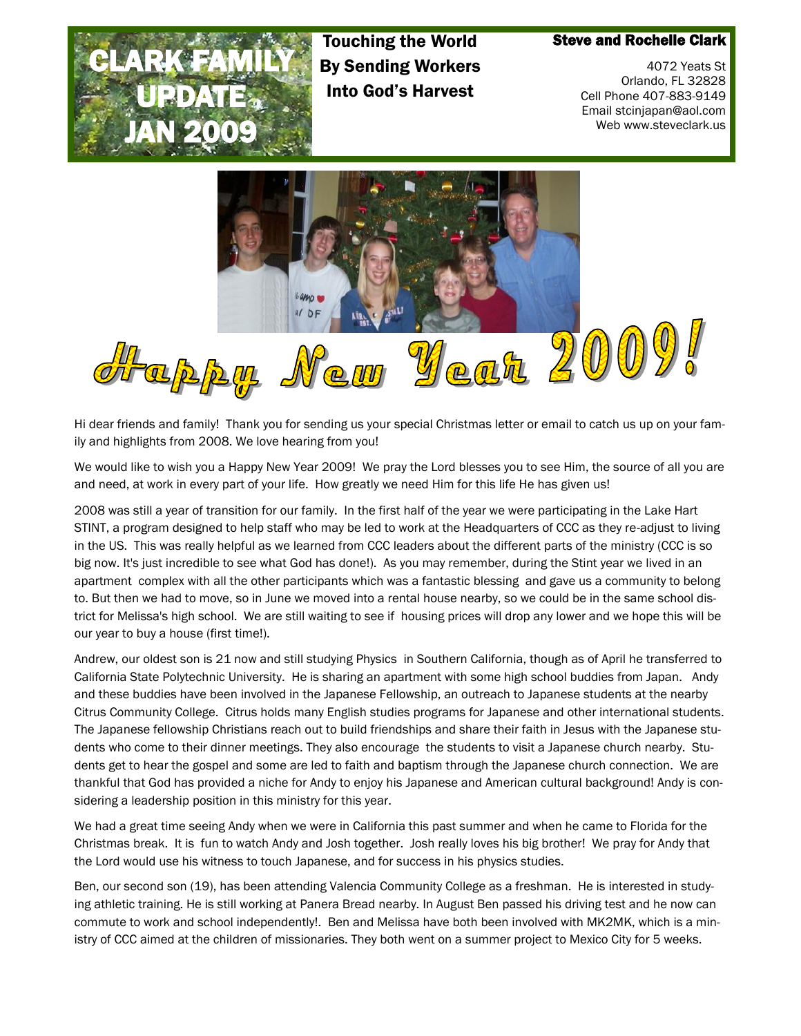

Touching the World By Sending Workers Into God's Harvest

## Steve and Rochelle Clark

4072 Yeats St Orlando, FL 32828 Cell Phone 407-883-9149 Email stcinjapan@aol.com Web www.steveclark.us



Hi dear friends and family! Thank you for sending us your special Christmas letter or email to catch us up on your family and highlights from 2008. We love hearing from you!

We would like to wish you a Happy New Year 2009! We pray the Lord blesses you to see Him, the source of all you are and need, at work in every part of your life. How greatly we need Him for this life He has given us!

2008 was still a year of transition for our family. In the first half of the year we were participating in the Lake Hart STINT, a program designed to help staff who may be led to work at the Headquarters of CCC as they re-adjust to living in the US. This was really helpful as we learned from CCC leaders about the different parts of the ministry (CCC is so big now. It's just incredible to see what God has done!). As you may remember, during the Stint year we lived in an apartment complex with all the other participants which was a fantastic blessing and gave us a community to belong to. But then we had to move, so in June we moved into a rental house nearby, so we could be in the same school district for Melissa's high school. We are still waiting to see if housing prices will drop any lower and we hope this will be our year to buy a house (first time!).

Andrew, our oldest son is 21 now and still studying Physics in Southern California, though as of April he transferred to California State Polytechnic University. He is sharing an apartment with some high school buddies from Japan. Andy and these buddies have been involved in the Japanese Fellowship, an outreach to Japanese students at the nearby Citrus Community College. Citrus holds many English studies programs for Japanese and other international students. The Japanese fellowship Christians reach out to build friendships and share their faith in Jesus with the Japanese students who come to their dinner meetings. They also encourage the students to visit a Japanese church nearby. Students get to hear the gospel and some are led to faith and baptism through the Japanese church connection. We are thankful that God has provided a niche for Andy to enjoy his Japanese and American cultural background! Andy is considering a leadership position in this ministry for this year.

We had a great time seeing Andy when we were in California this past summer and when he came to Florida for the Christmas break. It is fun to watch Andy and Josh together. Josh really loves his big brother! We pray for Andy that the Lord would use his witness to touch Japanese, and for success in his physics studies.

Ben, our second son (19), has been attending Valencia Community College as a freshman. He is interested in studying athletic training. He is still working at Panera Bread nearby. In August Ben passed his driving test and he now can commute to work and school independently!. Ben and Melissa have both been involved with MK2MK, which is a ministry of CCC aimed at the children of missionaries. They both went on a summer project to Mexico City for 5 weeks.